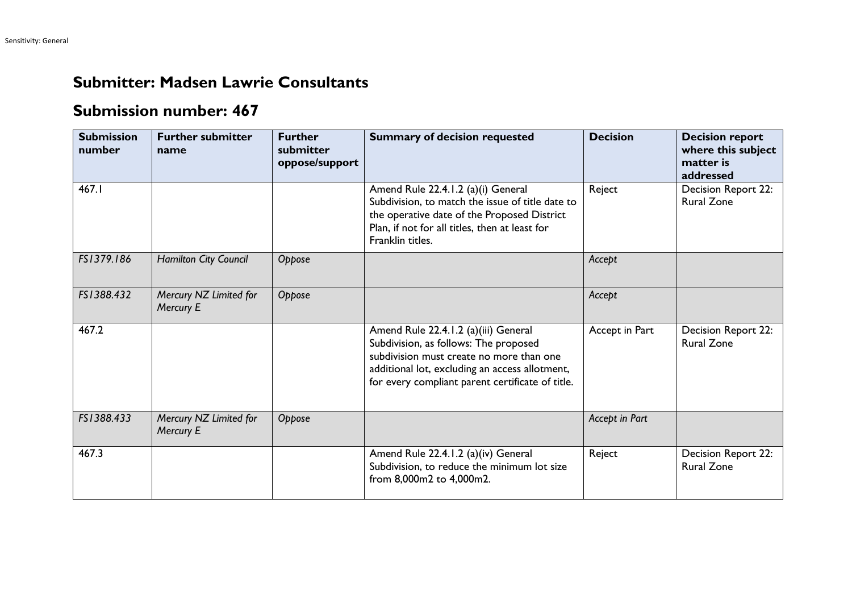## **Submitter: Madsen Lawrie Consultants**

## **Submission number: 467**

| <b>Submission</b><br>number | <b>Further submitter</b><br>name    | <b>Further</b><br>submitter<br>oppose/support | <b>Summary of decision requested</b>                                                                                                                                                                                            | <b>Decision</b> | <b>Decision report</b><br>where this subject<br>matter is<br>addressed |
|-----------------------------|-------------------------------------|-----------------------------------------------|---------------------------------------------------------------------------------------------------------------------------------------------------------------------------------------------------------------------------------|-----------------|------------------------------------------------------------------------|
| 467.1                       |                                     |                                               | Amend Rule 22.4.1.2 (a)(i) General<br>Subdivision, to match the issue of title date to<br>the operative date of the Proposed District<br>Plan, if not for all titles, then at least for<br>Franklin titles.                     | Reject          | Decision Report 22:<br><b>Rural Zone</b>                               |
| FS1379.186                  | Hamilton City Council               | Oppose                                        |                                                                                                                                                                                                                                 | Accept          |                                                                        |
| FS1388.432                  | Mercury NZ Limited for<br>Mercury E | Oppose                                        |                                                                                                                                                                                                                                 | Accept          |                                                                        |
| 467.2                       |                                     |                                               | Amend Rule 22.4.1.2 (a)(iii) General<br>Subdivision, as follows: The proposed<br>subdivision must create no more than one<br>additional lot, excluding an access allotment,<br>for every compliant parent certificate of title. | Accept in Part  | Decision Report 22:<br><b>Rural Zone</b>                               |
| FS1388.433                  | Mercury NZ Limited for<br>Mercury E | Oppose                                        |                                                                                                                                                                                                                                 | Accept in Part  |                                                                        |
| 467.3                       |                                     |                                               | Amend Rule 22.4.1.2 (a)(iv) General<br>Subdivision, to reduce the minimum lot size<br>from 8,000m2 to 4,000m2.                                                                                                                  | Reject          | Decision Report 22:<br><b>Rural Zone</b>                               |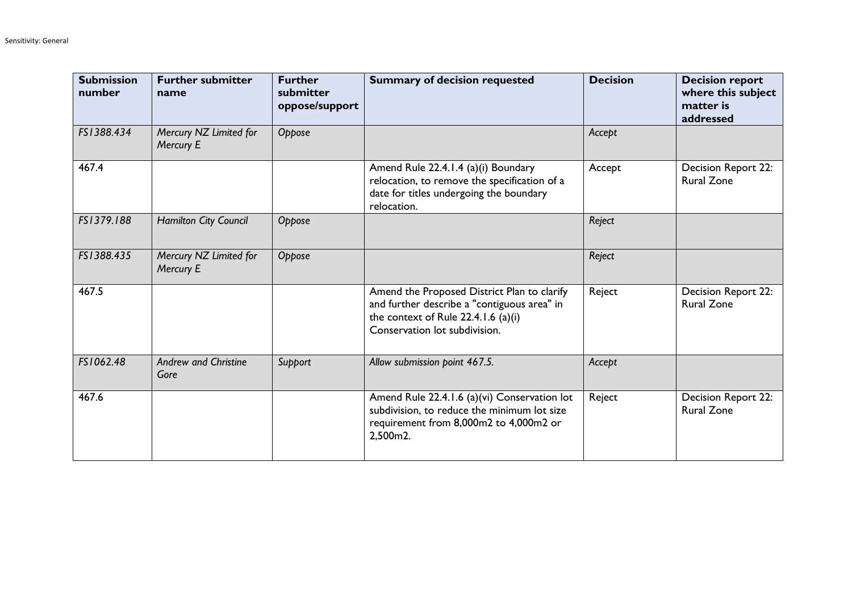| <b>Submission</b><br>number | <b>Further submitter</b><br>name    | <b>Further</b><br>submitter<br>oppose/support | <b>Summary of decision requested</b>                                                                                                                                 | <b>Decision</b> | <b>Decision report</b><br>where this subject<br>matter is<br>addressed |
|-----------------------------|-------------------------------------|-----------------------------------------------|----------------------------------------------------------------------------------------------------------------------------------------------------------------------|-----------------|------------------------------------------------------------------------|
| FS1388.434                  | Mercury NZ Limited for<br>Mercury E | Oppose                                        |                                                                                                                                                                      | Accept          |                                                                        |
| 467.4                       |                                     |                                               | Amend Rule 22.4.1.4 (a)(i) Boundary<br>relocation, to remove the specification of a<br>date for titles undergoing the boundary<br>relocation.                        | Accept          | Decision Report 22:<br><b>Rural Zone</b>                               |
| FS1379.188                  | Hamilton City Council               | Oppose                                        |                                                                                                                                                                      | Reject          |                                                                        |
| FS1388.435                  | Mercury NZ Limited for<br>Mercury E | Oppose                                        |                                                                                                                                                                      | Reject          |                                                                        |
| 467.5                       |                                     |                                               | Amend the Proposed District Plan to clarify<br>and further describe a "contiguous area" in<br>the context of Rule $22.4.1.6$ (a)(i)<br>Conservation lot subdivision. | Reject          | Decision Report 22:<br><b>Rural Zone</b>                               |
| FS1062.48                   | <b>Andrew and Christine</b><br>Gore | Support                                       | Allow submission point 467.5.                                                                                                                                        | Accept          |                                                                        |
| 467.6                       |                                     |                                               | Amend Rule 22.4.1.6 (a)(vi) Conservation lot<br>subdivision, to reduce the minimum lot size<br>requirement from 8,000m2 to 4,000m2 or<br>2,500m2.                    | Reject          | Decision Report 22:<br><b>Rural Zone</b>                               |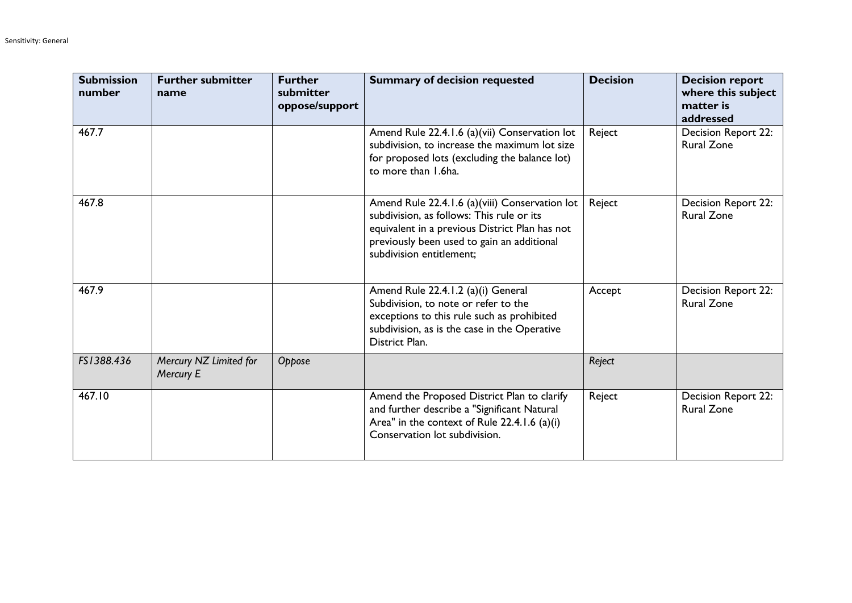| <b>Submission</b><br>number | <b>Further submitter</b><br>name    | <b>Further</b><br>submitter<br>oppose/support | <b>Summary of decision requested</b>                                                                                                                                                                                    | <b>Decision</b> | <b>Decision report</b><br>where this subject<br>matter is<br>addressed |
|-----------------------------|-------------------------------------|-----------------------------------------------|-------------------------------------------------------------------------------------------------------------------------------------------------------------------------------------------------------------------------|-----------------|------------------------------------------------------------------------|
| 467.7                       |                                     |                                               | Amend Rule 22.4.1.6 (a)(vii) Conservation lot<br>subdivision, to increase the maximum lot size<br>for proposed lots (excluding the balance lot)<br>to more than 1.6ha.                                                  | Reject          | Decision Report 22:<br><b>Rural Zone</b>                               |
| 467.8                       |                                     |                                               | Amend Rule 22.4.1.6 (a)(viii) Conservation lot<br>subdivision, as follows: This rule or its<br>equivalent in a previous District Plan has not<br>previously been used to gain an additional<br>subdivision entitlement: | Reject          | Decision Report 22:<br><b>Rural Zone</b>                               |
| 467.9                       |                                     |                                               | Amend Rule 22.4.1.2 (a)(i) General<br>Subdivision, to note or refer to the<br>exceptions to this rule such as prohibited<br>subdivision, as is the case in the Operative<br>District Plan.                              | Accept          | Decision Report 22:<br><b>Rural Zone</b>                               |
| FS1388.436                  | Mercury NZ Limited for<br>Mercury E | Oppose                                        |                                                                                                                                                                                                                         | Reject          |                                                                        |
| 467.10                      |                                     |                                               | Amend the Proposed District Plan to clarify<br>and further describe a "Significant Natural<br>Area" in the context of Rule 22.4.1.6 (a)(i)<br>Conservation lot subdivision.                                             | Reject          | Decision Report 22:<br><b>Rural Zone</b>                               |